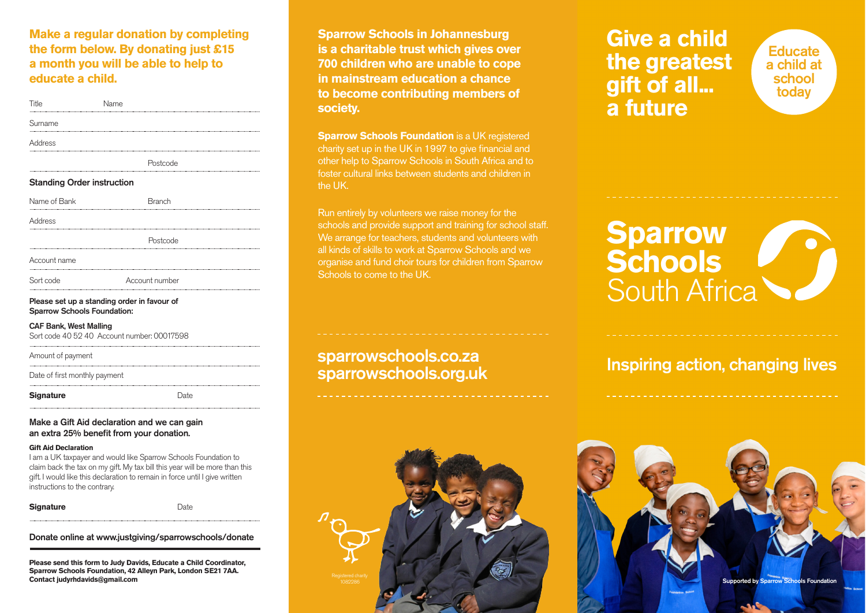### **Make a regular donation by completing the form below. By donating just £15 a month you will be able to help to educate a child.**

| Title                                                                             | Name |                |  |  |
|-----------------------------------------------------------------------------------|------|----------------|--|--|
| Surname                                                                           |      |                |  |  |
| Address                                                                           |      |                |  |  |
|                                                                                   |      | Postcode       |  |  |
| <b>Standing Order instruction</b>                                                 |      |                |  |  |
| Name of Bank                                                                      |      | <b>Branch</b>  |  |  |
| Address                                                                           |      |                |  |  |
|                                                                                   |      | Postcode       |  |  |
| Account name                                                                      |      |                |  |  |
| Sort code                                                                         |      | Account number |  |  |
| Please set up a standing order in favour of<br><b>Sparrow Schools Foundation:</b> |      |                |  |  |
| ---- - - -- --- -                                                                 |      |                |  |  |

CAF Bank, West Malling Sort code 40 52 40 Account number: 00017598

Amount of payment

Date of first monthly payment

Signature Date

#### Make a Gift Aid declaration and we can gain an extra 25% benefit from your donation.

#### **Gift Aid Declaration**

I am a UK taxpayer and would like Sparrow Schools Foundation to claim back the tax on my gift. My tax bill this year will be more than this gift. I would like this declaration to remain in force until I give written instructions to the contrary.

#### **Signature** Date

Donate online at www.justgiving/sparrowschools/donate

**Please send this form to Judy Davids, Educate a Child Coordinator, Sparrow Schools Foundation, 42 Alleyn Park, London SE21 7AA. Contact judyrhdavids@gmail.com**

**Sparrow Schools in Johannesburg is a charitable trust which gives over 700 children who are unable to cope in mainstream education a chance to become contributing members of society.**

**Sparrow Schools Foundation** is a UK registered charity set up in the UK in 1997 to give financial and other help to Sparrow Schools in South Africa and to foster cultural links between students and children in the UK.

Run entirely by volunteers we raise money for the schools and provide support and training for school staff. We arrange for teachers, students and volunteers with all kinds of skills to work at Sparrow Schools and we organise and fund choir tours for children from Sparrow Schools to come to the UK.

### sparrowschools.co.za sparrowschools.org.uk



# **Give a child the greatest gift of all... a future**

**Educate** a child at school today

# **Sparrow Schools**  South Africa

# Inspiring action, changing lives